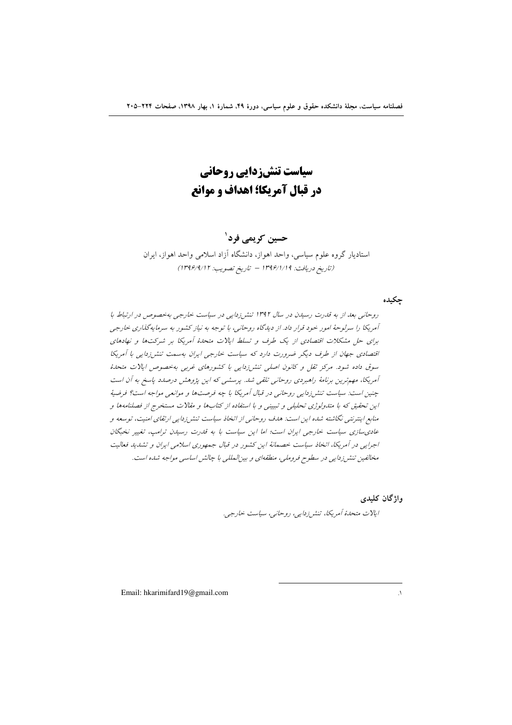سیاست تنش; دایی روحانی در قبال آمریکا؛ اهداف و موانع

حسین کریمے فرد ٰ

استادیار گروه علوم سیاسی، واحد اهواز، دانشگاه آزاد اسلامی واحد اهواز، ایران (تاريخ دريافت: ١٣٩۶/١/١٩ - تاريخ تصويب: ١٣٩۶/٩/١٢)

حكىدە

روحانی بعد از به قدرت رسیدن در سال ۱۳۹۲ تنش زدایی در سیاست خارجی بهخصوص در ارتباط با آمریکا را سرلوحهٔ امور خود قرار داد. از دیا گاه روحانی، با توجه به نیاز کشور به سرمایه گذاری خارجی برای حل مشکلات اقتصادی از یک طرف و تسلط ایالات متحدهٔ آمریکا بر شرکتها و نهادهای اقتصادی جهان از طرف دیگر ضرورت دارد که سیاست خارجی ایران بهسمت تنشر زدایی با آمریکا سوق داده شود. مرکز ثقل و کانون اصلی تنش زدایی با کشورهای غربی بهخصوص ایالات متحلهٔ آمریکا، مهمترین برنامهٔ راهبردی روحانی تلقی شد. پرسشی که این پژوهش درصدد پاسخ به آن است چنین است: سیاست تنش زدایی روحانی در قبال آمریکا با چه فرصتها و موانعی مواجه است؟ فرضیهٔ این تحقیق که با متدولوژی تحلیلی و تبیینی و با استفاده از کتابها و مقالات مستخرج از فصلنامهها و منابع اینترنتی نگاشته شده این است: هدف روحانی از اتخاذ سیاست تنشرزدایی ارتقای امنیت، توسعه و عادی سازی سیاست خارجی ایران است؛ اما این سیاست با به قدرت رسیدن ترامب، تغییر نخبگان اجرایی در آمریکا، اتخاذ سیاست خصمانهٔ این کشور در قبال جمهوری اسلامی ایران و تشدید فعالیت مخالفین تنشر زدایی در سطوح فروملی، منطقهای و بین المللی با چالش اساسی مواجه شده است.

واژگان کليدې

ايلات متحلةُ أمريكا، تنشرزدايي، روحاني، سياست خارجي.

Email: hkarimifard19@gmail.com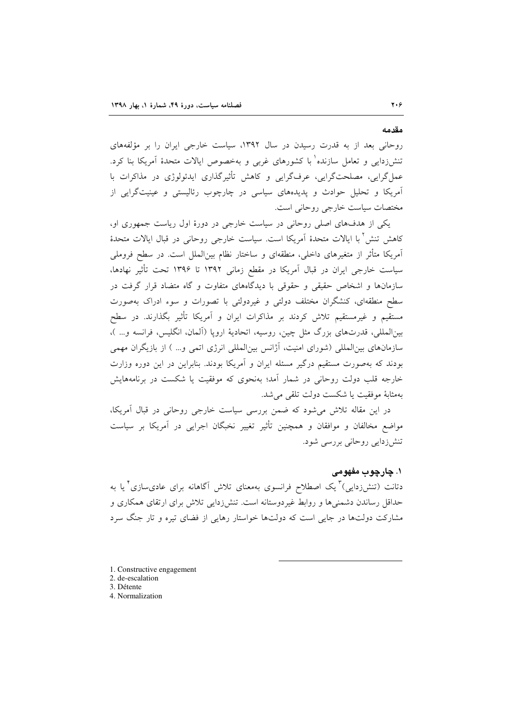روحانی بعد از به قدرت رسیدن در سال ۱۳۹۲، سیاست خارجی ایران را بر مؤلفههای تنش(دایی و تعامل سازنده` با کشورهای غربی و بهخصوص ایالات متحدهٔ آمریکا بنا کرد. عملگرایی، مصلحتگرایی، عرفگرایی و کاهش تأثیرگذاری ایدئولوژی در مذاکرات با آمریکا و تحلیل حوادث و پدیدههای سیاسی در چارچوب رئالیستی و عینیتگرایی از مختصات سیاست خارجی روحانی است.

یکی از هدفهای اصلی روحانی در سیاست خارجی در دورهٔ اول ریاست جمهوری او، كاهش تنش ٌ با ايالات متحدهٔ اَمريکا است. سياست خارجي روحاني در قبال ايالات متحدهٔ آمریکا متأثر از متغیرهای داخلی، منطقهای و ساختار نظام بین|لملل است. در سطح فروملی سیاست خارجی ایران در قبال آمریکا در مقطع زمانی ۱۳۹۲ تا ۱۳۹۶ تحت تأثیر نهادها، سازمانها و اشخاص حقیقی و حقوقی با دیدگاههای متفاوت و گاه متضاد قرار گرفت در سطح منطقهای، کنشگران مختلف دولتی و غیردولتی با تصورات و سوءِ ادراک بهصورت مستقیم و غیرمستقیم تلاش کردند بر مذاکرات ایران و آمریکا تأثیر بگذارند. در سطح بینالمللی، قدرتهای بزرگ مثل چین، روسیه، اتحادیهٔ اروپا (آلمان، انگلیس، فرانسه و... )، سازمانهای بینالمللی (شورای امنیت، آژانس بینالمللی انرژی اتمی و… ) از بازیگران مهمی بودند که بهصورت مستقیم درگیر مسئله ایران و آمریکا بودند. بنابراین در این دوره وزارت خارجه قلب دولت روحانی در شمار آمد؛ بهنحوی که موفقیت یا شکست در برنامههایش بهمثابة موفقيت يا شكست دولت تلقى مى شد.

در این مقاله تلاش می شود که ضمن بررسی سیاست خارجی روحانی در قبال آمریکا، مواضع مخالفان و موافقان و همچنین تأثیر تغییر نخبگان اجرایی در آمریکا بر سیاست تنش(زدایی روحانی بررسی شود.

## ١. چارچوب مفهومي

دتانت (تنشرزدای<sub>ی</sub>) ٌ یک اصطلاح فرانسوی بهمعنای تلاش آگاهانه برای عادیسازی ٌ یا به حداقل رساندن دشمنیها و روابط غیردوستانه است. تنش(دایی تلاش برای ارتقای همکاری و مشارکت دولتها در جایی است که دولتها خواستار رهایی از فضای تیره و تار جنگ سرد

- 1. Constructive engagement
- 2. de-escalation
- 3. Détente
- 4. Normalization

مقدمه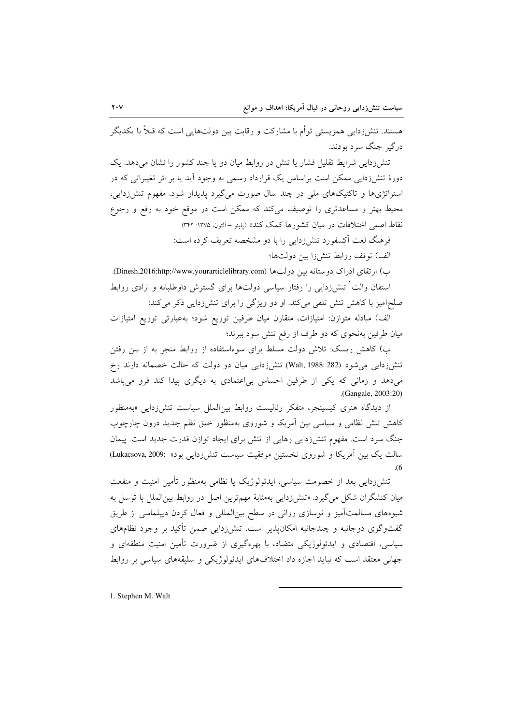هستند. تنشزدایی همزیستی توأم با مشارکت و رقابت بین دولتهایی است که قبلاً با یکدیگر درگہ جنگ سرد پودند.

تنشرزدایی شرایط تقلیل فشار یا تنش در روابط میان دو یا چند کشور را نشان میدهد. یک دورهٔ تنش(دایی ممکن است براساس یک قرارداد رسمی به وجود آید یا بر اثر تغییراتی که در استراتژیها و تاکتیکهای ملی در چند سال صورت میگیرد پدیدار شود. مفهوم تنش(دایی، محیط بهتر و مساعدتری را توصیف میکند که ممکن است در موقع خود به رفع و رجوع نقاط اصلي اختلافات در ميان كشورها كمك كند» (يلينو –آلتون ١٣٧۵: ٣٢٢).

فرهنگ لغت آکسفورد تنش زدایی را با دو مشخصه تعریف کرده است:

الف) توقف روابط تنشرزا بين دولتها؛

ب) ارتقای ادراک دوستانه بین دولتها (Dinesh,2016:http://www.yourarticlelibrary.com). استفان والت<sup>\</sup> تنش{دایی را رفتار سیاسی دولتها برای گسترش داوطلبانه و ارادی روابط صلحاًمیز با کاهش تنش تلقی میکند. او دو ویژگی را برای تنشزدایی ذکر میکند:

الف) مبادله متوازن: امتیازات، متقارن میان طرفین توزیع شود؛ بهعبارتی توزیع امتیازات میان طرفین بهنحوی که دو طرف از رفع تنش سود ببرند؛

ب) کاهش ریسک: تلاش دولت مسلط برای سوءاستفاده از روابط منجر به از بین رفتن تنشرزدایی می شود (Walt, 1988: 282). تنشرزدایی میان دو دولت که حالت خصمانه دارند رخ میدهد و زمانی که یکی از طرفین احساس بی اعتمادی به دیگری پیدا کند فرو می پاشد (Gangale, 2003:20)

از دیدگاه هنری کیسینجر، متفکر رئالیست روابط بینالملل سیاست تنش(زدای<sub>ی</sub> «بهمنظور کاهش تنش نظامی و سیاسی بین اَمریکا و شوروی بهمنظور خلق نظم جدید درون چارچوب جنگ سرد است. مفهوم تنشزدایی رهایی از تنش برای ایجاد توازن قدرت جدید است. پیمان سالت یک بین أمریکا و شوروی نخستین موفقیت سیاست تنش(دایی بود» :Lukacsova, 2009)  $(6)$ 

تنشرزدایی بعد از خصومت سیاسی، ایدئولوژیک یا نظامی بهمنظور تأمین امنیت و منفعت میان کنشگران شکل میگیرد. «تنشزدایی بهمثابهٔ مهمترین اصل در روابط بینالملل با توسل به شیوههای مسالمتآمیز و نوسازی روانی در سطح بین|لمللی و فعال کردن دیپلماسی از طریق گفتوگوی دوجانبه و چندجانبه امکانپذیر است. تنش(دایی ضمن تأکید بر وجود نظامهای سیاسی، اقتصادی و ایدئولوژیکی متضاد، با بهرهگیری از ضرورت تأمین امنیت منطقهای و جهانی معتقد است که نباید اجازه داد اختلافهای ایدئولوژیکی و سلیقههای سیاسی بر روابط

1. Stephen M. Walt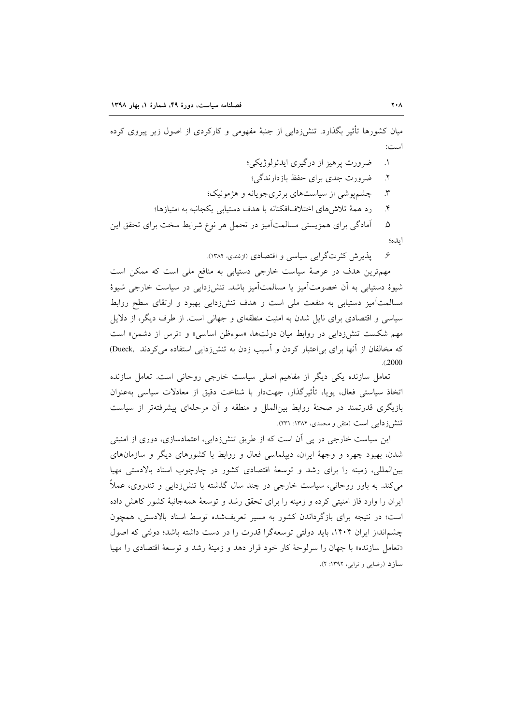میان کشورها تأثیر بگذارد. تنشزدایی از جنبهٔ مفهومی و کارکردی از اصول زیر پیروی کرده است:

- ضرورت پرهيز از درگيري ايدئولوژيکي؛  $\Lambda$
- ضرورت جدی برای حفظ بازدارندگی؛  $\cdot$
- چشم پوشی از سیاستهای بر تری جویانه و هژمونیک؛  $\mathcal{N}$
- رد همهٔ تلاش های اختلافافکنانه با هدف دستیابی یکجانبه به امتیازها؛  $\cdot$

آمادگی برای همزیستی مسالمتآمیز در تحمل هر نوع شرایط سخت برای تحقق این  $\Delta$ ايده؛

> پذیرش کثرتگرایی سیاسی و اقتصادی (ازغندی، ۱۳۸۴). عي

مهم ترین هدف در عرصهٔ سیاست خارجی دستیابی به منافع ملی است که ممکن است شیوهٔ دستیابی به آن خصومتآمیز یا مسالمتآمیز باشد. تنش(دایی در سیاست خارجی شیوهٔ مسالمتآمیز دستیابی به منفعت ملی است و هدف تنشزدایی بهبود و ارتقای سطح روابط سیاسی و اقتصادی برای نایل شدن به امنیت منطقهای و جهانی است. از طرف دیگر، از دلایل مهم شکست تنش زدایی در روابط میان دولتها، «سوءظن اساسی» و «ترس از دشمن» است که مخالفان از آنها برای بی اعتبار کردن و آسیب زدن به تنشزدایی استفاده می کردند Dueck,  $. (2000$ 

تعامل سازنده یکی دیگر از مفاهیم اصلی سیاست خارجی روحانی است. تعامل سازنده اتخاذ سیاستی فعال، یوپا، تأثیرگذار، جهتدار با شناخت دقیق از معادلات سیاسی بهعنوان بازیگری قدرتمند در صحنهٔ روابط بین|لملل و منطقه و آن مرحلهای پیشرفتهتر از سیاست تنش زدایی است (متقی و محمدی، ۱۳۸۴: ۲۳۱).

این سیاست خارجی در پی آن است که از طریق تنشزدایی، اعتمادسازی، دوری از امنیتی شدن، بهبود چهره و وجههٔ ایران، دیپلماسی فعال و روابط با کشورهای دیگر و سازمانهای بین(لمللی، زمینه را برای رشد و توسعهٔ اقتصادی کشور در چارچوب اسناد بالادستی مهیا می کند. به باور روحانی، سیاست خارجی در چند سال گذشته با تنش(زدایی و تندروی، عملاً ایران را وارد فاز امنیتی کرده و زمینه را برای تحقق رشد و توسعهٔ همهجانبهٔ کشور کاهش داده است؛ در نتیجه برای بازگرداندن کشور به مسیر تعریفشده توسط اسناد بالادستی، همچون چشمانداز ایران ۱۴۰۴، باید دولتی توسعهگرا قدرت را در دست داشته باشد؛ دولتی که اصول «تعامل سازنده» با جهان را سرلوحهٔ کار خود قرار دهد و زمینهٔ رشد و توسعهٔ اقتصادی را مهیا سازد (رضایی و ترابی، ۱۳۹۲: ۲).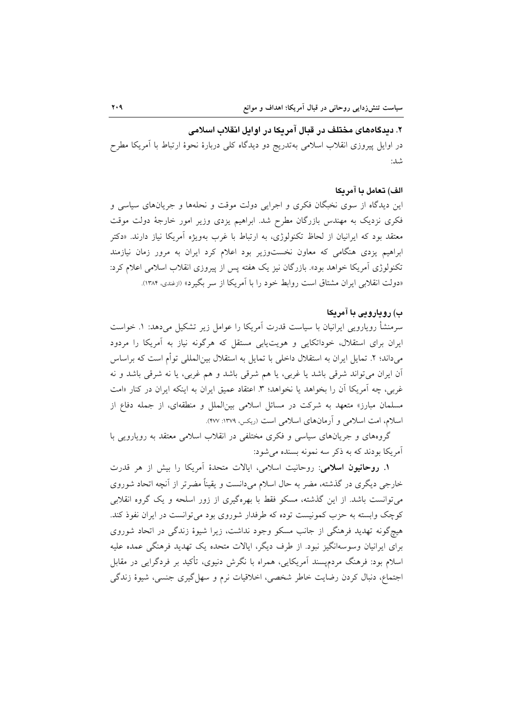### ۲. دیدگاههای مختلف در قبال آمریکا در اوایل انقلاب اسلامی

در اوایل پیروزی انقلاب اسلامی بهتدریج دو دیدگاه کلی دربارهٔ نحوهٔ ارتباط با آمریکا مطرح شد:

### الف) تعامل با آمريكا

این دیدگاه از سوی نخبگان فکری و اجرایی دولت موقت و نحلهها و جریانهای سیاسی و فکری نزدیک به مهندس بازرگان مطرح شد. ابراهیم یزدی وزیر امور خارجهٔ دولت موقت معتقد بود که ایرانیان از لحاظ تکنولوژی، به ارتباط با غرب بهویژه آمریکا نیاز دارند. «دکتر ابراهیم یزدی هنگامی که معاون نخستوزیر بود اعلام کرد ایران به مرور زمان نیازمند تکنولوژی اَمریکا خواهد بود». بازرگان نیز یک هفته پس از پیروزی انقلاب اسلامی اعلام کرد: «دولت انقلابی ایران مشتاق است روابط خود را با آمریکا از سر بگیرد» (ازغندی، ۱۳۸۴).

### ب) رويارويي با آمريكا

سرمنشأ رویارویی ایرانیان با سیاست قدرت آمریکا را عوامل زیر تشکیل میدهد: ١. خواست ایران برای استقلال، خوداتکایی و هویت یابی مستقل که هرگونه نیاز به آمریکا را مردود میداند؛ ۲. تمایل ایران به استقلال داخلی با تمایل به استقلال بینالمللی توأم است که براساس آن ايران مي تواند شرقي باشد يا غربي، يا هم شرقي باشد و هم غربي، يا نه شرقي باشد و نه غربی، چه اَمریکا اَن را بخواهد یا نخواهد؛ ۳. اعتقاد عمیق ایران به اینکه ایران در کنار «امت مسلمان مبارز» متعهد به شركت در مسائل اسلامى بينالملل و منطقهاى، از جمله دفاع از اسلام، امت اسلامی و آرمانهای اسلامی است (ریکس، ۱۳۷۹: ۴۷۷).

گروههای و جریانهای سیاسی و فکری مختلفی در انقلاب اسلامی معتقد به رویارویی با آمریکا بودند که به ذکر سه نمونه بسنده میشود:

١. روحانيون اسلامي: روحانيت اسلامي، ايالات متحدة آمريكا را بيش از هر قدرت خارجی دیگری در گذشته، مضر به حال اسلام میدانست و یقیناً مضرتر از آنچه اتحاد شوروی می توانست باشد. از این گذشته، مسکو فقط با بهرهگیری از زور اسلحه و یک گروه انقلابی کوچک وابسته به حزب کمونیست توده که طرفدار شوروی بود می توانست در ایران نفوذ کند. هیچگونه تهدید فرهنگی از جانب مسکو وجود نداشت، زیرا شیوهٔ زندگی در اتحاد شوروی برای ایرانیان وسوسهانگیز نبود. از طرف دیگر، ایالات متحده یک تهدید فرهنگی عمده علیه اسلام بود: فرهنگ مردمیسند آمریکایی، همراه با نگرش دنیوی، تأکید بر فردگرایی در مقابل اجتماع، دنبال کردن رضایت خاطر شخصی، اخلاقیات نرم و سهل گیری جنسی، شیوهٔ زندگی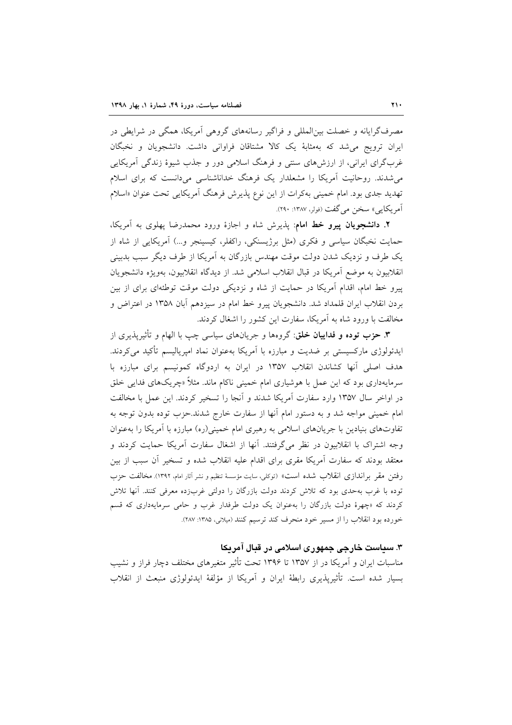مصرفگرایانه و خصلت بینالمللی و فراگیر رسانههای گروهی آمریکا، همگی در شرایطی در ایران ترویج می شد که بهمثابهٔ یک کالا مشتاقان فراوانی داشت. دانشجویان و نخبگان غربگرای ایرانی، از ارزش،های سنتی و فرهنگ اسلامی دور و جذب شیوهٔ زندگی آمریکایی می شدند. روحانیت آمریکا را مشعلدار یک فرهنگ خداناشناسی میدانست که برای اسلام تهدید جدی بود. امام خمینی بهکرات از این نوع پذیرش فرهنگ آمریکایی تحت عنوان «اسلام آمريكايي» سخن مي گفت (فولر، ۱۳۸۷: ۲۹۰).

**۲**. دانشجویان پیرو خط امام: پذیرش شاه و اجازهٔ ورود محمدرضا پهلوی به اَمریکا، حمایت نخبگان سیاسی و فکری (مثل برژیسنکی، راکفلر، کیسینجر و...) آمریکایی از شاه از یک طرف و نزدیک شدن دولت موقت مهندس بازرگان به اَمریکا از طرف دیگر سبب بدبینی انقلابيون به موضع اَمريكا در قبال انقلاب اسلامي شد. از ديدگاه انقلابيون، بهويژه دانشجويان پیرو خط امام، اقدام آمریکا در حمایت از شاه و نزدیکی دولت موقت توطئهای برای از بین بردن انقلاب ایران قلمداد شد. دانشجویان پیرو خط امام در سیزدهم آبان ۱۳۵۸ در اعتراض و مخالفت با ورود شاه به آمریکا، سفارت این کشور را اشغال کردند.

**۳. حزب توده و فداییان خلق**: گروهها و جریانهای سیاسی چپ با الهام و تأثیریذیری از ایدئولوژی مارکسیستی بر ضدیت و مبارزه با آمریکا بهعنوان نماد امپریالیسم تأکید میکردند. هدف اصلی آنها کشاندن انقلاب ۱۳۵۷ در ایران به اردوگاه کمونیسم برای مبارزه با سرمایهداری بود که این عمل با هوشیاری امام خمینی ناکام ماند. مثلاً «چریکهای فدایی خلق در اواخر سال ۱۳۵۷ وارد سفارت آمریکا شدند و آنجا را تسخیر کردند. این عمل با مخالفت امام خمینی مواجه شد و به دستور امام آنها از سفارت خارج شدند.حزب توده بدون توجه به تفاوتهای بنیادین با جریانهای اسلامی به رهبری امام خمینی(ره) مبارزه با آمریکا را بهعنوان وجه اشتراک با انقلابیون در نظر میگرفتند. آنها از اشغال سفارت آمریکا حمایت کردند و معتقد بودند که سفارت اًمریکا مقری برای اقدام علیه انقلاب شده و تسخیر اَن سبب از بین رفتن مقر براندازي انقلاب شده است» (توكلي، سايت مؤسسهٔ تنظيم و نشر آثار امام، ١٣٩٢). مخالفت حزب توده با غرب بهحدی بود که تلاش کردند دولت بازرگان را دولتی غربزده معرفی کنند. آنها تلاش کردند که «چهرهٔ دولت بازرگان را بهعنوان یک دولت طرفدار غرب و حامی سرمایهداری که قسم خورده بود انقلاب را از مسیر خود منحرف کند ترسیم کنند (میلانی، ۱۳۸۵: ۲۸۷).

## ۳. سیاست خارجی جمهوری اسلامی در قبال آمریکا

مناسبات ایران و آمریکا در از ۱۳۵۷ تا ۱۳۹۶ تحت تأثیر متغیرهای مختلف دچار فراز و نشیب بسیار شده است. تأثیرپذیری رابطهٔ ایران و آمریکا از مؤلفهٔ ایدئولوژی منبعث از انقلاب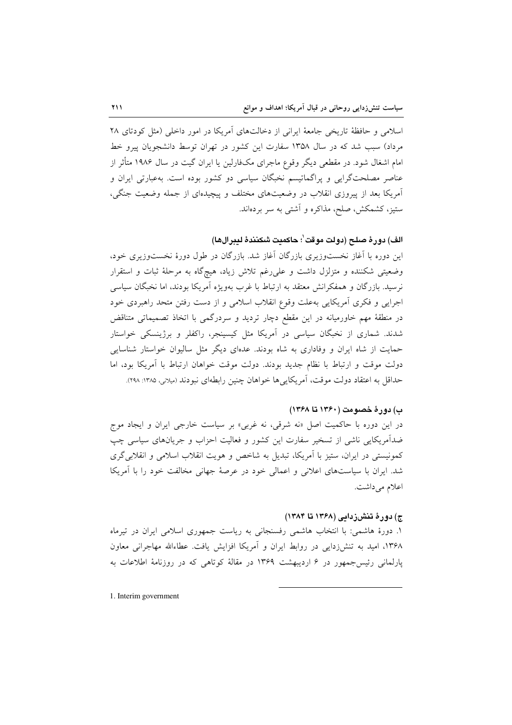اسلامی و حافظهٔ تاریخی جامعهٔ ایرانی از دخالتهای آمریکا در امور داخلی (مثل کودتای ۲۸ مرداد) سبب شد که در سال ۱۳۵۸ سفارت این کشور در تهران توسط دانشجویان پیرو خط امام اشغال شود. در مقطعی دیگر وقوع ماجرای مکفارلین یا ایران گیت در سال ۱۹۸۶ متأثر از عناصر مصلحتگرایی و پراگماتیسم نخبگان سیاسی دو کشور بوده است. بهعبارتی ایران و آمریکا بعد از پیروزی انقلاب در وضعیتهای مختلف و پیچیدهای از جمله وضعیت جنگی، ستیز، کشمکش، صلح، مذاکره و آشتی به سر بردهاند.

## الف) دورة صلح (دولت موقت ٰ؛ حاكمت شكنندة لببرالها)

این دوره با آغاز نخستوزیری بازرگان آغاز شد. بازرگان در طول دورهٔ نخستوزیری خود، وضعیتی شکننده و متزلزل داشت و علی رغم تلاش زیاد، هیچگاه به مرحلهٔ ثبات و استقرار نرسید. بازرگان و همفکرانش معتقد به ارتباط با غرب بهویژه آمریکا بودند، اما نخبگان سیاسی اجرایی و فکری آمریکایی بهعلت وقوع انقلاب اسلامی و از دست رفتن متحد راهبردی خود در منطقهٔ مهم خاورمیانه در این مقطع دچار تردید و سردرگمی با اتخاذ تصمیماتی متناقض شدند. شماری از نخبگان سیاسی در آمریکا مثل کیسینجر، راکفلر و برژینسکی خواستار حمایت از شاه ایران و وفاداری به شاه بودند. عدهای دیگر مثل سالیوان خواستار شناسایی دولت موقت و ارتباط با نظام جدید بودند. دولت موقت خواهان ارتباط با آمریکا بود، اما حداقل به اعتقاد دولت موقت، آمريكايي ها خواهان چنين رابطهاي نبودند (ميلاني، ١٣٨٥. ٢٩٨).

## ب) دورهٔ خصومت (۱۳۶۰ تا ۱۳۶۸)

در این دوره با حاکمیت اصل «نه شرقی، نه غربی» بر سیاست خارجی ایران و ایجاد موج ضدآمریکایی ناشی از تسخیر سفارت این کشور و فعالیت احزاب و جریانهای سیاسی چپ کمونیستی در ایران، ستیز با آمریکا، تبدیل به شاخص و هویت انقلاب اسلامی و انقلابی گری شد. ایران با سیاستهای اعلانی و اعمالی خود در عرصهٔ جهانی مخالفت خود را با آمریکا اعلام می داشت.

#### ج) دورۂ تنش; دامی (۱۳۶۸ تا ۱۳۸۴)

١. دورهٔ هاشمی: با انتخاب هاشمی رفسنجانی به ریاست جمهوری اسلامی ایران در تیرماه ۱۳۶۸، امید به تنش(دایی در روابط ایران و آمریکا افزایش یافت. عطاءالله مهاجرانی معاون یارلمانی رئیس جمهور در ۶ اردیبهشت ۱۳۶۹ در مقالهٔ کوتاهی که در روزنامهٔ اطلاعات به

1. Interim government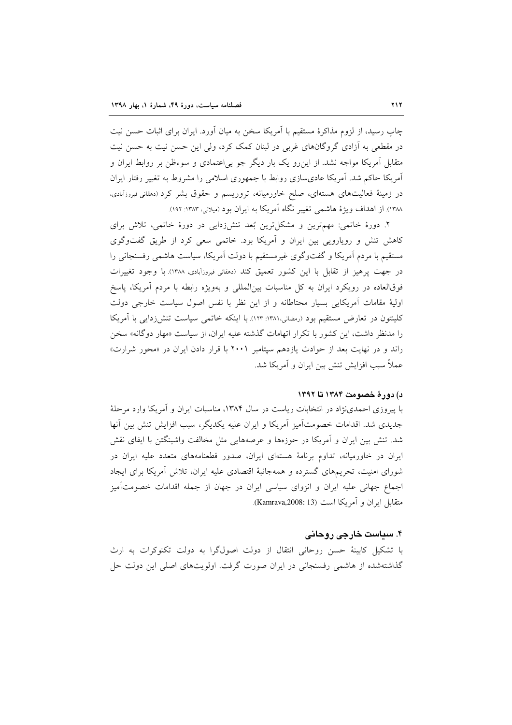چاپ رسید، از لزوم مذاکرهٔ مستقیم با آمریکا سخن به میان آورد. ایران برای اثبات حسن نیت در مقطعی به آزادی گروگانهای غربی در لبنان کمک کرد، ولی این حسن نیت به حسن نیت متقابل آمریکا مواجه نشد. از این٫رو یک بار دیگر جو بی|عتمادی و سوءظن بر روابط ایران و آمریکا حاکم شد. آمریکا عادیسازی روابط با جمهوری اسلامی را مشروط به تغییر رفتار ایران در زمینهٔ فعالیتهای هستهای، صلح خاورمیانه، تروریسم و حقوق بشر کرد (دمقانی فیروزآبادی، ۱۳۸۸). از اهداف ویژهٔ هاشمی تغییر نگاه آمریکا به ایران بود (میلانی، ۱۳۸۳: ۱۹۲).

۲. دورهٔ خاتمی: مهمترین و مشکل ترین بُعد تنش(دایی در دورهٔ خاتمی، تلاش برای کاهش تنش و رویارویی بین ایران و آمریکا بود. خاتمی سعی کرد از طریق گفتوگوی مستقیم با مردم اَمریکا و گفتوگوی غیرمستقیم با دولت اَمریکا، سیاست هاشمی رفسنجانی را در جهت پرهیز از تقابل با این کشور تعمیق کند (دمقانی فیروزآبادی، ۱۳۸۸). با وجود تغییرات فوقالعاده در رويكرد ايران به كل مناسبات بين|لمللي و بهويژه رابطه با مردم آمريكا، ياسخ اولیهٔ مقامات أمریکایی بسیار محتاطانه و از این نظر با نفس اصول سیاست خارجی دولت کلینتون در تعارض مستقیم بود (رمضانی،١٣٨١: ١٢٣). با اینکه خاتمی سیاست تنش(دایی با آمریکا را مدنظر داشت، این کشور با تکرار اتهامات گذشته علیه ایران، از سیاست «مهار دوگانه» سخن راند و در نهایت بعد از حوادث یازدهم سپتامبر ۲۰۰۱ با قرار دادن ایران در «محور شرارت» عملاً سبب افزایش تنش بین ایران و آمریکا شد.

### د) دورهٔ خصومت ۱۳۸۴ تا ۱۳۹۲

با پیروزی احمدی نژاد در انتخابات ریاست در سال ۱۳۸۴، مناسبات ایران و آمریکا وارد مرحلهٔ جدیدی شد. اقدامات خصومتآمیز آمریکا و ایران علیه یکدیگر، سبب افزایش تنش بین آنها شد. تنش بین ایران و آمریکا در حوزهها و عرصههایی مثل مخالفت واشینگتن با ایفای نقش ایران در خاورمیانه، تداوم برنامهٔ هستهای ایران، صدور قطعنامههای متعدد علیه ایران در شورای امنیت، تحریمهای گسترده و همهجانبهٔ اقتصادی علیه ایران، تلاش اَمریکا برای ایجاد اجماع جهانی علیه ایران و انزوای سیاسی ایران در جهان از جمله اقدامات خصومتآمیز متقابل ايران و آمريكا است (Kamrava,2008: 13).

## ۴. سیاست خارجی روحانی

با تشکیل کابینهٔ حسن روحانی انتقال از دولت اصولگرا به دولت تکنوکرات به ارث گذاشتهشده از هاشمی رفسنجانی در ایران صورت گرفت. اولویتهای اصلی این دولت حل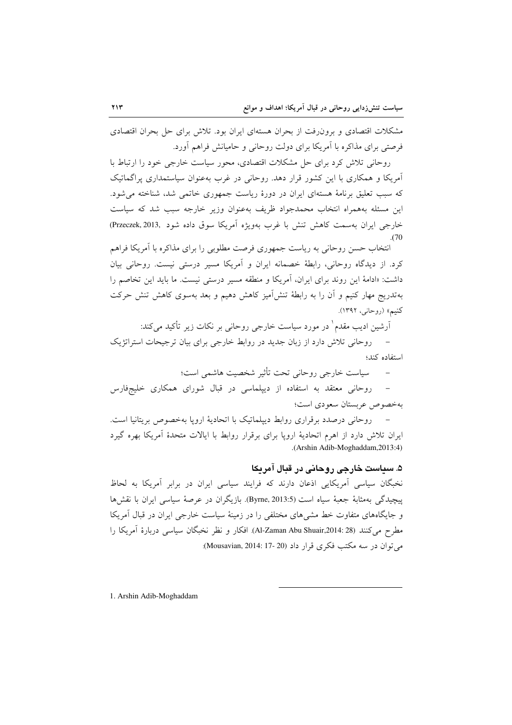مشکلات اقتصادی و برون رفت از بحران هستهای ایران بود. تلاش برای حل بحران اقتصادی فرصتی برای مذاکره با آمریکا برای دولت روحانی و حامیانش فراهم آورد.

روحانی تلاش کرد برای حل مشکلات اقتصادی، محور سیاست خارجی خود را ارتباط با آمریکا و همکاری با این کشور قرار دهد. روحانی در غرب بهعنوان سیاستمداری پراگماتیک که سبب تعلیق برنامهٔ هستهای ایران در دورهٔ ریاست جمهوری خاتمی شد، شناخته می شود. این مسئله بههمراه انتخاب محمدجواد ظریف بهعنوان وزیر خارجه سبب شد که سیاست خارجي ايران بهسمت كاهش تنش با غرب بهويژه آمريكا سوق داده شود .(Przeczek, 2013)  $(70)$ 

انتخاب حسن روحانی به ریاست جمهوری فرصت مطلوبی را برای مذاکره با آمریکا فراهم کرد. از دیدگاه روحانی، رابطهٔ خصمانه ایران و آمریکا مسیر درستی نیست. روحانی بیان داشت: «ادامهٔ این روند برای ایران، آمریکا و منطقه مسیر درستی نیست. ما باید این تخاصم را بهتدریج مهار کنیم و آن را به رابطهٔ تنش|میز کاهش دهیم و بعد بهسوی کاهش تنش حرکت کنیم» (روحانی، ۱۳۹۲).

آرشین ادیب مقدم<sup>ا</sup> در مورد سیاست خارجی روحانی بر نکات زیر تأکید می کند: – روحانی تلاش دارد از زبان جدید در روابط خارجی برای بیان ترجیحات استراتژیک

استفاده كند؛

سیاست خارجی روحانی تحت تأثیر شخصیت هاشمی است؛  $\equiv$ 

روحانی معتقد به استفاده از دیپلماسی در قبال شورای همکاری خلیجفارس بهخصوص عربستان سعودي است؛

روحانی درصدد برقراری روابط دیپلماتیک با اتحادیهٔ اروپا بهخصوص بریتانیا است. ایران تلاش دارد از اهرم اتحادیهٔ اروپا برای برقرار روابط با ایالات متحدهٔ آمریکا بهره گیرد .(Arshin Adib-Moghaddam, 2013:4)

## ۵. سياست خارجي روحاني در قبال آمريكا

نخبگان سیاسی آمریکایی اذعان دارند که فرایند سیاسی ایران در برابر آمریکا به لحاظ ييچيدگي بهمثابهٔ جعبهٔ سياه است (Byrne, 2013:5). بازيگران در عرصهٔ سياسي ايران با نقشها و جایگاههای متفاوت خط مشیهای مختلفی را در زمینهٔ سیاست خارجی ایران در قبال آمریکا مطرح می کنند (Al-Zaman Abu Shuair,2014: 28). افکار و نظر نخبگان سیاسی دربارهٔ آمریکا را می توان در سه مکتب فکری قرار داد (20 -17 :Mousavian, 2014):

1. Arshin Adib-Moghaddam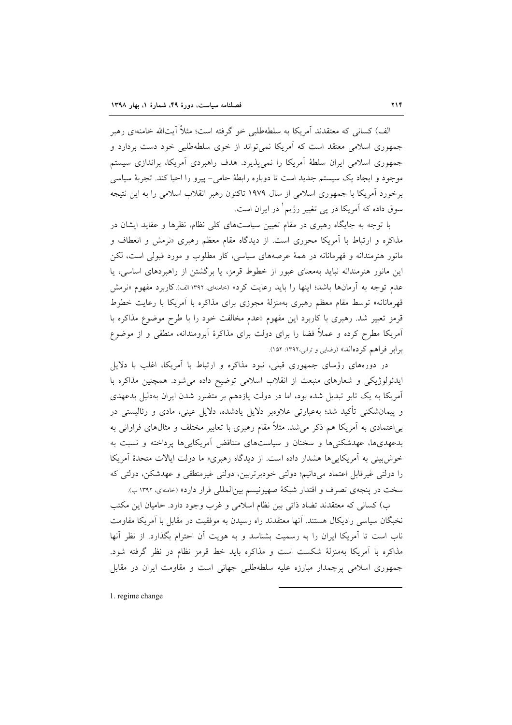الف) کسانی که معتقدند آمریکا به سلطهطلبی خو گرفته است؛ مثلاً آیتالله خامنهای رهبر جمهوری اسلامی معتقد است که آمریکا نمی تواند از خوی سلطهطلبی خود دست بردارد و جمهوری اسلامی ایران سلطهٔ آمریکا را نمیپذیرد. هدف راهبردی آمریکا، براندازی سیستم موجود و ایجاد یک سیستم جدید است تا دوباره رابطهٔ حامی- پیرو را احیا کند. تجربهٔ سیاسی برخورد آمریکا با جمهوری اسلامی از سال ۱۹۷۹ تاکنون رهبر انقلاب اسلامی را به این نتیجه سوق داده که آمریکا در پی تغییر رژیم ٰ در ایران است.

با توجه به جایگاه رهبری در مقام تعیین سیاستهای کلی نظام، نظرها و عقاید ایشان در مذاکرِه و ارتباط با آمریکا محوری است. از دیدگاه مقام معظم رهبری «نرمش و انعطاف و مانور هنرمندانه و قهرمانانه در همهٔ عرصههای سیاسی، کار مطلوب و مورد قبولی است، لکن این مانور هنرمندانه نباید بهمعنای عبور از خطوط قرمز، یا برگشتن از راهبردهای اساسی، یا عدم توجه به آرمانها باشد؛ اینها را باید رعایت کرد» (حامنهای، ۱۳۹۲ الف) کاربرد مفهوم «نرمش قهرمانانه» توسط مقام معظم رهبری بهمنزلهٔ مجوزی برای مذاکره با اَمریکا با رعایت خطوط قرمز تعبیر شد. رهبری با کاربرد این مفهوم «عدم مخالفت خود را با طرح موضوع مذاکره با آمریکا مطرح کرده و عملاً فضا را برای دولت برای مذاکرهٔ آبرومندانه، منطقی و از موضوع برابر فراهم كردهاند» (رضايي و ترابي،١٣٩٢: ١٥٢).

در دورههای رؤسای جمهوری قبلی، نبود مذاکره و ارتباط با آمریکا، اغلب با دلایل ایدئولوژیکی و شعارهای منبعث از انقلاب اسلامی توضیح داده می شود. همچنین مذاکره با آمریکا به یک تابو تبدیل شده بود، اما در دولت یازدهم بر متضرر شدن ایران بهدلیل بدعهدی و پیمانشکنی تأکید شد؛ بهعبارتی علاوهبر دلایل یادشده، دلایل عینی، مادی و رئالیستی در بی|عتمادی به آمریکا هم ذکر میشد. مثلاً مقام رهبری با تعابیر مختلف و مثالهای فراوانی به بدعهدیها، عهدشکنیها و سخنان و سیاستهای متناقض آمریکاییها پرداخته و نسبت به خوش بینی به آمریکاییها هشدار داده است. از دیدگاه رهبری« ما دولت ایالات متحدهٔ آمریکا را دولتی غیرقابل اعتماد میدانیم؛ دولتی خودبرتربین، دولتی غیرمنطقی و عهدشکن، دولتی که سخت در پنجهي تصرف و اقتدار شبكهٔ صهيونيسم بينالمللي قرار دارد» (حامنهاي، ١٣٩٢ ب).

ب) كساني كه معتقدند تضاد ذاتي بين نظام اسلامي و غرب وجود دارد. حاميان اين مكتب نخبگان سیاسی رادیکال هستند. آنها معتقدند راه رسیدن به موفقیت در مقابل با آمریکا مقاومت ناب است تا آمریکا ایران را به رسمیت بشناسد و به هویت آن احترام بگذارد. از نظر آنها مذاکره با آمریکا بهمنزلهٔ شکست است و مذاکره باید خط قرمز نظام در نظر گرفته شود. جمهوری اسلامی پرچمدار مبارزه علیه سلطهطلبی جهانی است و مقاومت ایران در مقابل

1. regime change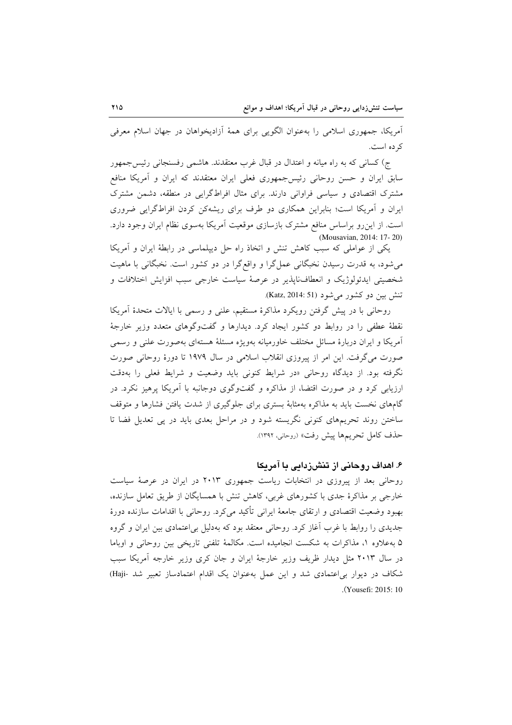آمریکا، جمهوری اسلامی را بهعنوان الگویی برای همهٔ آزادیخواهان در جهان اسلام معرفی ک ده است.

ج) کسانی که به راه میانه و اعتدال در قبال غرب معتقدند. هاشمی رفسنجانی رئیس جمهور سابق ایران و حسن روحانی رئیس جمهوری فعلی ایران معتقدند که ایران و آمریکا منافع مشترک اقتصادی و سیاسی فراوانی دارند. برای مثال افراطگرایی در منطقه، دشمن مشترک ایران و اَمریکا است؛ بنابراین همکاری دو طرف برای ریشهکن کردن افراطگرایی ضروری است. از این رو براساس منافع مشترک بازسازی موقعیت آمریکا بهسوی نظام ایران وجود دارد. (Mousavian, 2014: 17-20)

یکی از عواملی که سبب کاهش تنش و اتخاذ راه حل دیپلماسی در رابطهٔ ایران و آمریکا میشود، به قدرت رسیدن نخبگانی عملگرا و واقعگرا در دو کشور است. نخبگانی با ماهیت شخصیتی ایدئولوژیک و انعطافناپذیر در عرصهٔ سیاست خارجی سبب افزایش اختلافات و تنش بين دو كشور مي شود (Katz, 2014: 51).

روحانی با در پیش گرفتن رویکرد مذاکرهٔ مستقیم، علنی و رسمی با ایالات متحدهٔ آمریکا نقطهٔ عطفی را در روابط دو کشور ایجاد کرد. دیدارها و گفتوگوهای متعدد وزیر خارجهٔ آمریکا و ایران دربارهٔ مسائل مختلف خاورمیانه بهویژه مسئلهٔ هستهای بهصورت علنی و رسمی صورت می گرفت. این امر از پیروزی انقلاب اسلامی در سال ۱۹۷۹ تا دورهٔ روحانی صورت نگرفته بود. از دیدگاه روحانی «در شرایط کنونی باید وضعیت و شرایط فعلی را بهدقت ارزیابی کرد و در صورت اقتضا، از مذاکره و گفتوگوی دوجانبه با آمریکا پرهیز نکرد. در گامهای نخست باید به مذاکره بهمثابهٔ بستری برای جلوگیری از شدت یافتن فشارها و متوقف ساختن روند تحریمهای کنونی نگریسته شود و در مراحل بعدی باید در پی تعدیل فضا تا حذف كامل تحريمها پيش رفت» (روحاني، ١٣٩٢).

## ۶. اهداف روحانی از تنشزدایی با آمریکا

روحانی بعد از پیروزی در انتخابات ریاست جمهوری ۲۰۱۳ در ایران در عرصهٔ سیاست خارجی بر مذاکرهٔ جدی با کشورهای غربی، کاهش تنش با همسایگان از طریق تعامل سازنده، بهبود وضعیت اقتصادی و ارتقای جامعهٔ ایرانی تأکید میکرد. روحانی با اقدامات سازنده دورهٔ جدیدی را روابط با غرب آغاز کرد. روحانی معتقد بود که بهدلیل بی|عتمادی بین ایران و گروه ۵ به علاوه ۱، مذاکرات به شکست انجامیده است. مکالمهٔ تلفنی تاریخی بین روحانی و اوباما در سال ۲۰۱۳ مثل دیدار ظریف وزیر خارجهٔ ایران و جان کری وزیر خارجه اَمریکا سبب شکاف در دیوار بی اعتمادی شد و این عمل بهعنوان یک اقدام اعتمادساز تعبیر شد -Haji) .(Yousefi: 2015: 10)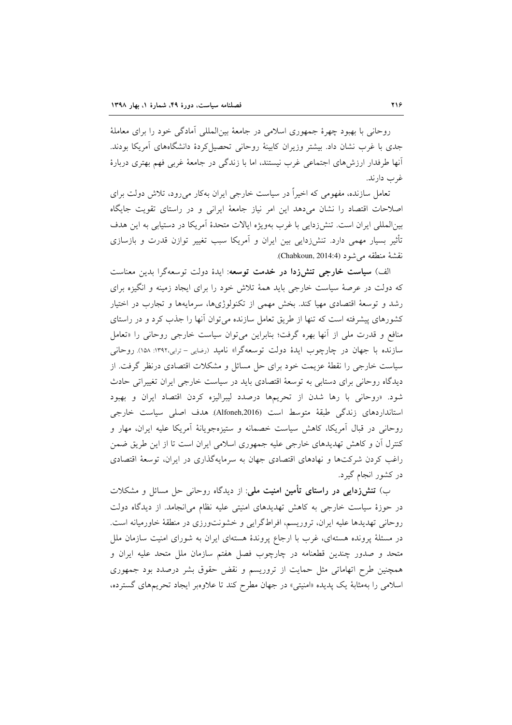روحاني با بهبود چهرهٔ جمهوري اسلامي در جامعهٔ بين|لمللي آمادگي خود را براي معاملهٔ جدی با غرب نشان داد. بیشتر وزیران کابینهٔ روحانی تحصیل کردهٔ دانشگاههای آمریکا بودند. أنها طرفدار ارزشهای اجتماعی غرب نیستند، اما با زندگی در جامعهٔ غربی فهم بهتری دربارهٔ غړب دارند.

تعامل سازنده، مفهومی که اخیراً در سیاست خارجی ایران بهکار می رود، تلاش دولت برای اصلاحات اقتصاد را نشان میدهد این امر نیاز جامعهٔ ایرانی و در راستای تقویت جایگاه بینالمللی ایران است. تنش(دایی با غرب بهویژه ایالات متحدهٔ آمریکا در دستیابی به این هدف تأثیر بسیار مهمی دارد. تنشززدایی بین ایران و آمریکا سبب تغییر توازن قدرت و بازسازی نقشة منطقه مي شود (Chabkoun, 2014:4).

الف) **سیاست خارجی تنشزدا در خدمت توسعه**: ایدهٔ دولت توسعهگرا بدین معناست که دولت در عرصهٔ سیاست خارجی باید همهٔ تلاش خود را برای ایجاد زمینه و انگیزه برای رشد و توسعهٔ اقتصادی مهیا کند. بخش مهمی از تکنولوژیها، سرمایهها و تجارب در اختیار کشورهای پیشرفته است که تنها از طریق تعامل سازنده می توان آنها را جذب کرد و در راستای منافع و قدرت ملي از آنها بهره گرفت؛ بنابراين مي توان سياست خارجي روحاني را «تعامل سازنده با جهان در چارچوب ایدهٔ دولت توسعهگرا» نامید (رضایی – ترابی،۱۳۹۲: ۱۵۸). روحانی سیاست خارجی را نقطهٔ عزیمت خود برای حل مسائل و مشکلات اقتصادی درنظر گرفت. از دیدگاه روحانی برای دستابی به توسعهٔ اقتصادی باید در سیاست خارجی ایران تغییراتی حادث شود. «روحانی با رها شدن از تحریمها درصدد لیبرالیزه کردن اقتصاد ایران و بهبود استانداردهای زندگی طبقهٔ متوسط است (Alfoneh,2016) هدف اصلی سیاست خارجی روحانی در قبال آمریکا، کاهش سیاست خصمانه و ستیزهجویانهٔ آمریکا علیه ایران، مهار و کنترل آن و کاهش تهدیدهای خارجی علیه جمهوری اسلامی ایران است تا از این طریق ضمن راغب کردن شرکتها و نهادهای اقتصادی جهان به سرمایهگذاری در ایران، توسعهٔ اقتصادی در کشور انجام گیرد.

ب) **تنش(دایی در راستای تأمین امنیت ملی**: از دیدگاه روحانی حل مسائل و مشکلات در حوزهٔ سیاست خارجی به کاهش تهدیدهای امنیتی علیه نظام میانجامد. از دیدگاه دولت روحاني تهديدها عليه ايران، تروريسم، افراطگرايي و خشونتورزي در منطقهٔ خاورميانه است. در مسئلهٔ پرونده هستهای، غرب با ارجاع پروندهٔ هستهای ایران به شورای امنیت سازمان ملل متحد و صدور چندین قطعنامه در چارچوب فصل هفتم سازمان ملل متحد علیه ایران و همچنین طرح اتهاماتی مثل حمایت از تروریسم و نقض حقوق بشر درصدد بود جمهوری اسلامی را بهمثابهٔ یک پدیده «امنیتی» در جهان مطرح کند تا علاوهبر ایجاد تحریمهای گسترده،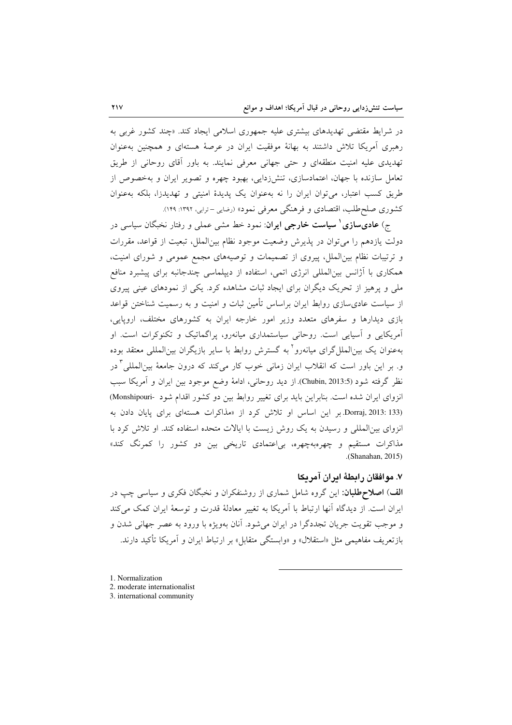در شرایط مقتضی تهدیدهای بیشتری علیه جمهوری اسلامی ایجاد کند. «چند کشور غربی به رهبری آمریکا تلاش داشتند به بهانهٔ موفقیت ایران در عرصهٔ هستهای و همچنین بهعنوان تهدیدی علیه امنیت منطقهای و حتی جهانی معرفی نمایند. به باور آقای روحانی از طریق تعامل سازنده با جهان، اعتمادسازی، تنشزدایی، بهبود چهره و تصویر ایران و بهخصوص از طریق کسب اعتبار، می توان ایران را نه بهعنوان یک پدیدهٔ امنیتی و تهدیدزا، بلکه بهعنوان کشوری صلحطلب، اقتصادی و فرهنگی معرفی نمود» (رضایی –ترابی، ۱۳۹۲: ۱۴۹).

ج) **عادیسازی ْ سیاست خارجی ایران**: نمود خط مشی عملی و رفتار نخبگان سیاسی در دولت یازدهم را می توان در یذیرش وضعیت موجود نظام بینالملل، تبعیت از قواعد، مقررات و ترتیبات نظام بین الملل، پیروی از تصمیمات و توصیههای مجمع عمومی و شورای امنیت، همکاری با آژانس بین|لمللی انرژی اتمی، استفاده از دیپلماسی چندجانبه برای پیشبرد منافع ملی و پرهیز از تحریک دیگران برای ایجاد ثبات مشاهده کرد. یکی از نمودهای عینی پیروی از سیاست عادیسازی روابط ایران براساس تأمین ثبات و امنیت و به رسمیت شناختن قواعد بازی دیدارها و سفرهای متعدد وزیر امور خارجه ایران به کشورهای مختلف، اروپایی، آمریکایی و آسپایی است. روحانی سیاستمداری میانهرو، پراگماتیک و تکنوکرات است. او بهعنوان یک بین|لملل گرای میانهرو` به گسترش روابط با سایر بازیگران بین|لمللی معتقد بوده و. بر این باور است که انقلاب ایران زمان<sub>ی</sub> خوب کار میکند که درون جامعهٔ بین|لملل<sub>ی</sub> <sup>۳</sup>در نظر گرفته شود (Chubin, 2013:5). از دید روحانی، ادامهٔ وضع موجود بین ایران و آمریکا سبب انزوای ایران شده است. بنابراین باید برای تغییر روابط بین دو کشور اقدام شود -Monshipouri) Dorraj, 2013: 133) بر این اساس او تلاش کرد از «مذاکرات هستهای برای پایان دادن به انزوای بینالمللی و رسیدن به یک روش زیست با ایالات متحده استفاده کند. او تلاش کرد با مذاکرات مستقیم و چهرهبهچهره، بی|عتمادی تاریخی بین دو کشور را کمرنگ کند» .(Shanahan, 2015)

## ٧. موافقان رابطهٔ ابران آمریکا

**الف**) **اصلاحطلبان**: این گروه شامل شماری از روشنفکران و نخبگان فکری و سیاسی چپ در ایران است. از دیدگاه آنها ارتباط با آمریکا به تغییر معادلهٔ قدرت و توسعهٔ ایران کمک می کند و موجب تقويت جريان تجددگرا در ايران مي شود. آنان بهويژه با ورود به عصر جهاني شدن و بازتعريف مفاهيمي مثل «استقلال» و «وابستگي متقابل» بر ارتباط ايران و آمريكا تأكيد دارند.

- 1. Normalization
- 2. moderate internationalist
- 3. international community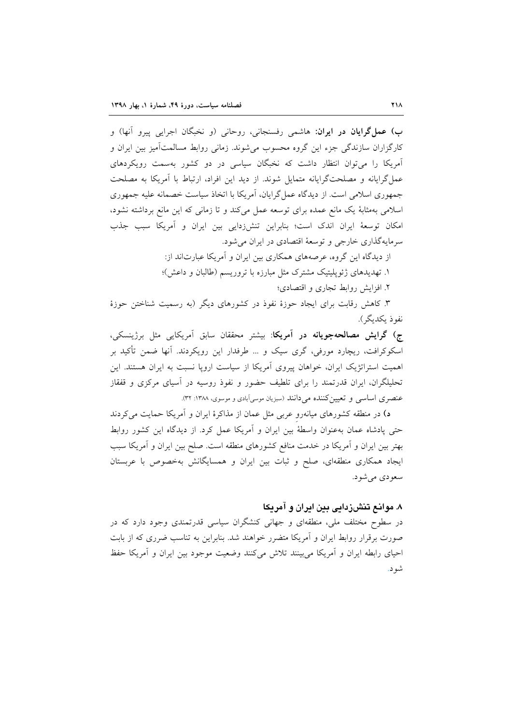**ب) عمل گرایان در ایران**: هاشمی رفسنجانی، روحانی (و نخبگان اجرایی پیرو آنها) و کارگزاران سازندگی جزء این گروه محسوب میشوند. زمانی روابط مسالمتآمیز بین ایران و آمریکا را میتوان انتظار داشت که نخبگان سیاسی در دو کشور بهسمت رویکردهای عمل گرایانه و مصلحتگرایانه متمایل شوند. از دید این افراد، ارتباط با آمریکا به مصلحت جمهوری اسلامی است. از دیدگاه عمل گرایان، آمریکا با اتخاذ سیاست خصمانه علیه جمهوری اسلامی بهمثابهٔ یک مانع عمده برای توسعه عمل میکند و تا زمانی که این مانع برداشته نشود، امکان توسعهٔ ایران اندک است؛ بنابراین تنش(دایی بین ایران و آمریکا سبب جذب سرمایهگذاری خارجی و توسعهٔ اقتصادی در ایران می شود.

> از دیدگاه این گروه، عرصههای همکاری بین ایران و آمریکا عبارتاند از: ۱. تهدیدهای ژئوپلیتیک مشترک مثل مبارزه با تروریسم (طالبان و داعش)؛

> > ۲. افزایش روابط تجاری و اقتصادی؛

۳. کاهش رقابت برای ایجاد حوزهٔ نفوذ در کشورهای دیگر (به رسمیت شناختن حوزهٔ نفوذ ىكدىگر).

ج) گرایش مصالحهجویانه در آمریکا: بیشتر محققان سابق آمریکایی مثل برژینسکی، اسکوکرافت، ریچارد مورفی، گری سیک و … طرفدار این رویکردند. آنها ضمن تأکید بر اهمیت استراتژیک ایران، خواهان پیروی آمریکا از سیاست اروپا نسبت به ایران هستند. این تحلیلگران، ایران قدرتمند را برای تلطیف حضور و نفوذ روسیه در آسیای مرکزی و قفقاز عنصری اساسی و تعیین کننده می دانند (سبزیان موسی آبادی و موسوی، ۱۳۸۸: ۳۲).

د) در منطقه کشورهای میانهرو عربی مثل عمان از مذاکرهٔ ایران و آمریکا حمایت میکردند حتى پادشاه عمان بهعنوان واسطهٔ بين ايران و آمريكا عمل كرد. از ديدگاه اين كشور روابط بهتر بین ایران و آمریکا در خدمت منافع کشورهای منطقه است. صلح بین ایران و آمریکا سبب ایجاد همکاری منطقهای، صلح و ثبات بین ایران و همسایگانش بهخصوص با عربستان سعو دي مي شو د.

## ۸. موانع تنشزدایی بین ایران و آمریکا

در سطوح مختلف ملی، منطقهای و جهانی کنشگران سیاسی قدرتمندی وجود دارد که در صورت برقرار روابط ایران و آمریکا متضرر خواهند شد. بنابراین به تناسب ضرری که از بابت احیای رابطه ایران و آمریکا می بینند تلاش میکنند وضعیت موجود بین ایران و آمریکا حفظ شو د.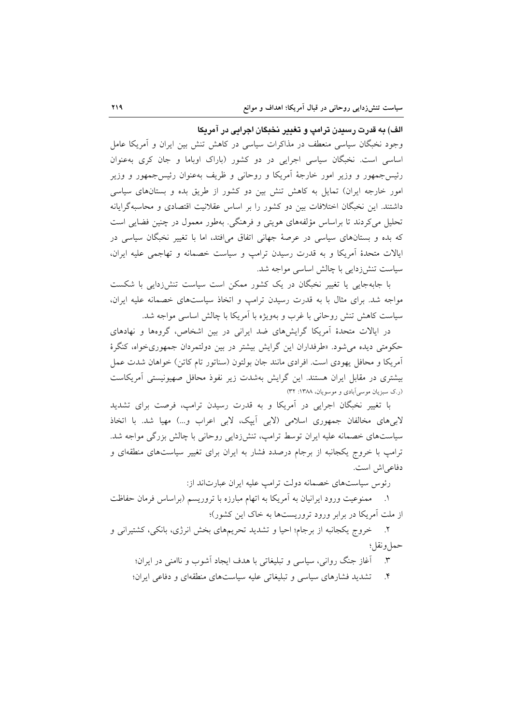الف) به قدرت رسیدن ترامپ و تغییر نخبگان اجرایی در آمریکا

وجود نخبگان سیاسی منعطف در مذاکرات سیاسی در کاهش تنش بین ایران و آمریکا عامل اساسی است. نخبگان سیاسی اجرایی در دو کشور (باراک اوباما و جان کری بهعنوان رئیس جمهور و وزیر امور خارجهٔ آمریکا و روحانی و ظریف بهعنوان رئیس جمهور و وزیر امور خارجه ایران) تمایل به کاهش تنش بین دو کشور از طریق بده و بستانهای سیاسی داشتند. این نخبگان اختلافات بین دو کشور را بر اساس عقلانیت اقتصادی و محاسبهگرایانه تحلیل میکردند تا براساس مؤلفههای هویتی و فرهنگی. بهطور معمول در چنین فضایی است که بده و بستانهای سیاسی در عرصهٔ جهانی اتفاق میافتد، اما با تغییر نخبگان سیاسی در ایالات متحدهٔ آمریکا و به قدرت رسیدن ترامپ و سیاست خصمانه و تهاجمی علیه ایران، سیاست تنش(دایی با چالش اساسی مواجه شد.

با جابهجایی یا تغییر نخبگان در یک کشور ممکن است سیاست تنش(ردایی با شکست مواجه شد. برای مثال با به قدرت رسیدن ترامب و اتخاذ سیاستهای خصمانه علیه ایران، سیاست کاهش تنش روحانی با غرب و بهویژه با آمریکا با چالش اساسی مواجه شد.

در ایالات متحدهٔ اَمریکا گرایشهای ضد ایرانی در بین اشخاص، گروهها و نهادهای حکومتی دیده می شود. «طرفداران این گرایش بیشتر در بین دولتمردان جمهوریخواه، کنگرهٔ أمريكا و محافل يهودي است. افرادي مانند جان بولتون (سناتور تام كاتن) خواهان شدت عمل بیشتری در مقابل ایران هستند. این گرایش بهشدت زیر نفوذ محافل صهیونیستی أمریکاست (ر.ک سبزیان موسی آبادی و موسویان، ۱۳۸۸: ۳۲)

با تغییر نخبگان اجرایی در آمریکا و به قدرت رسیدن ترامپ، فرصت برای تشدید لابیهای مخالفان جمهوری اسلامی (لابی اَیپک، لابی اعراب و…) مهیا شد. با اتخاذ سیاستهای خصمانه علیه ایران توسط ترامپ، تنشiدایی روحانی با چالش بزرگی مواجه شد. ترامپ با خروج یکجانبه از برجام درصدد فشار به ایران برای تغییر سیاستهای منطقهای و دفاعي اش است.

رئوس سیاستهای خصمانه دولت ترامب علیه ایران عبارتاند از:

١. ممنوعيت ورود ايرانيان به آمريكا به اتهام مبارزه با تروريسم (براساس فرمان حفاظت از ملت آمریکا در برابر ورود تروریستها به خاک این کشور)؛

۲. خروج یکجانبه از برجام؛ احیا و تشدید تحریمهای بخش انرژی، بانکی، کشتیرانی و حمل ونقل؛

۳. آغاز جنگ روانی، سیاسی و تبلیغاتی با هدف ایجاد اَشوب و ناامنی در ایران؛

۴. تشدید فشارهای سیاسی و تبلیغاتی علیه سیاستهای منطقهای و دفاعی ایران؛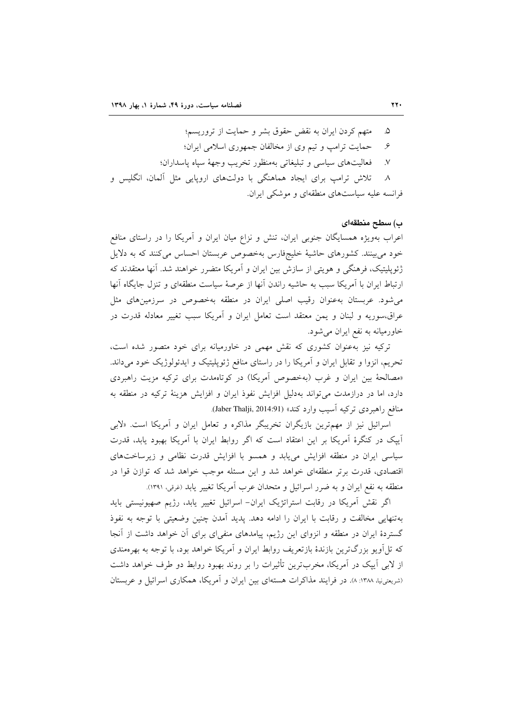متهم كردن ايران به نقض حقوق بشر و حمايت از تروريسم؛ ۵. حمایت ترامب و تیم وی از مخالفان جمهوری اسلامی ایران؛  $\cdot$ فعاليتهاي سياسي وتبليغاتي بهمنظور تخريب وجهة سياه ياسداران؛  $\mathcal{N}$ تلاش ترامب برای ایجاد هماهنگی با دولتهای اروپایی مثل آلمان، انگلیس و  $\lambda$ فرانسه علیه سیاستهای منطقهای و موشکی ایران.

#### ب) سطح منطقهای

اعراب بهویژه همسایگان جنوبی ایران، تنش و نزاع میان ایران و أمریکا را در راستای منافع خود می بینند. کشورهای حاشیهٔ خلیجفارس بهخصوص عربستان احساس می کنند که به دلایل ژئوپلیتیک، فرهنگی و هویتی از سازش بین ایران و آمریکا متضرر خواهند شد. آنها معتقدند که ارتباط ایران با آمریکا سبب به حاشیه راندن آنها از عرصهٔ سیاست منطقهای و تنزل جایگاه آنها می شود. عربستان به عنوان رقیب اصلی ایران در منطقه به خصوص در سرزمین های مثل عراق،سوریه و لبنان و یمن معتقد است تعامل ایران و آمریکا سبب تغییر معادله قدرت در خاورمیانه به نفع ایران می شود.

ترکیه نیز به عنوان کشوری که نقش مهمی در خاورمیانه برای خود متصور شده است، تحریم، انزوا و تقابل ایران و آمریکا را در راستای منافع ژئوپلیتیک و ایدئولوژیک خود میداند. «مصالحهٔ بین ایران و غرب (بهخصوص آمریکا) در کوتاهمدت برای ترکیه مزیت راهبردی دارد، اما در درازمدت می تواند بهدلیل افزایش نفوذ ایران و افزایش هزینهٔ ترکیه در منطقه به منافع راهبردی ترکیه آسیب وارد کند» (Jaber Thalji, 2014:91).

اسرائیل نیز از مهمترین بازیگران تخریبگر مذاکره و تعامل ایران و آمریکا است. «لابی آیپک در کنگرهٔ آمریکا بر این اعتقاد است که اگر روابط ایران با آمریکا بهبود یابد، قدرت سیاسی ایران در منطقه افزایش می یابد و همسو با افزایش قدرت نظامی و زیرساختهای اقتصادی، قدرت برتر منطقهای خواهد شد و این مسئله موجب خواهد شد که توازن قوا در منطقه به نفع ایران و به ضرر اسرائیل و متحدان عرب آمریکا تغییر یابد (غرقی، ۱۳۹۱).

اگر نقش آمریکا در رقابت استراتژیک ایران- اسرائیل تغییر یابد، رژیم صهیونیستی باید بهتنهایی مخالفت و رقابت با ایران را ادامه دهد. یدید آمدن چنین وضعیتی با توجه به نفوذ گستردهٔ ایران در منطقه و انزوای این رژیم، پیامدهای منفی ای برای آن خواهد داشت از آنجا که تلآویو بزرگترین بازندهٔ بازتعریف روابط ایران و آمریکا خواهد بود، با توجه به بهرهمندی از لابی آییک در آمریکا، مخربترین تأثیرات را بر روند بهبود روابط دو طرف خواهد داشت (شریعتی نیا، ۱۳۸۸: ۸). در فرایند مذاکرات هستهای بین ایران و آمریکا، همکاری اسرائیل و عربستان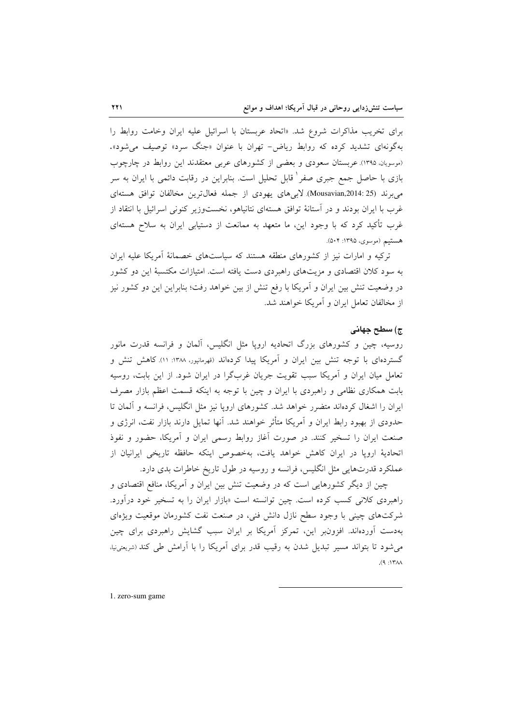برای تخریب مذاکرات شروع شد. «اتحاد عربستان با اسرائیل علیه ایران وخامت روابط را بهگونهای تشدید کرده که روابط ریاض- تهران با عنوان «جنگ سرد» توصیف می شود». (موسویان، ۱۳۹۵). عربستان سعودی و بعضی از کشورهای عربی معتقدند این روابط در چارچوب بازی با حاصل جمع جبری صفر ٰ قابل تحلیل است. بنابراین در رقابت دائمی با ایران به سر مى برند (Mousavian,2014: 25). لابى هاى يهودى از جمله فعال ترين مخالفان توافق هستهاى غرب با ایران بودند و در آستانهٔ توافق هستهای نتانیاهو، نخستوزیر کنونی اسرائیل با انتقاد از غرب تأکید کرد که با وجود این، ما متعهد به ممانعت از دستیابی ایران به سلاح هستهای هستيم (موسوى، ١٣٩٥: ٥٠۴).

ترکیه و امارات نیز از کشورهای منطقه هستند که سیاستهای خصمانهٔ آمریکا علیه ایران به سود کلان اقتصادی و مزیتهای راهبردی دست یافته است. امتیازات مکتسبهٔ این دو کشور در وضعیت تنش بین ایران و اَمریکا با رفع تنش از بین خواهد رفت؛ بنابراین این دو کشور نیز از مخالفان تعامل ایران و آمریکا خواهند شد.

#### ج) سطح جهانی

روسیه، چین و کشورهای بزرگ اتحادیه اروپا مثل انگلیس، آلمان و فرانسه قدرت مانور گستردهای با توجه تنش بین ایران و اَمریکا پیدا کردهاند (قهرمانپور، ۱۳۸۸: ۱۱). کاهش تنش و تعامل میان ایران و آمریکا سبب تقویت جریان غربگرا در ایران شود. از این بابت، روسیه بابت همکاری نظامی و راهبردی با ایران و چین با توجه به اینکه قسمت اعظم بازار مصرف ایران را اشغال کردهاند متضرر خواهد شد. کشورهای اروپا نیز مثل انگلیس، فرانسه و آلمان تا حدودی از بهبود رابط ایران و آمریکا متأثر خواهند شد. آنها تمایل دارند بازار نفت، انرژی و صنعت ایران را تسخیر کنند. در صورت آغاز روابط رسمی ایران و آمریکا، حضور و نفوذ اتحادیهٔ اروپا در ایران کاهش خواهد یافت، بهخصوص اینکه حافظه تاریخی ایرانیان از عملکرد قدرتهایی مثل انگلیس، فرانسه و روسیه در طول تاریخ خاطرات بدی دارد.

چین از دیگر کشورهایی است که در وضعیت تنش بین ایران و آمریکا، منافع اقتصادی و راهبردی کلانی کسب کرده است. چین توانسته است «بازار ایران را به تسخیر خود درآورد. شرکتهای چینی با وجود سطح نازل دانش فنی، در صنعت نفت کشورمان موقعیت ویژهای بهدست آوردهاند. افزونبر این، تمرکز آمریکا بر ایران سبب گشایش راهبردی برای چین می شود تا بتواند مسیر تبدیل شدن به رقیب قدر برای آمریکا را با آرامش طی کند (شریعتینیا،  $M$ 1۳۸۸:

1. zero-sum game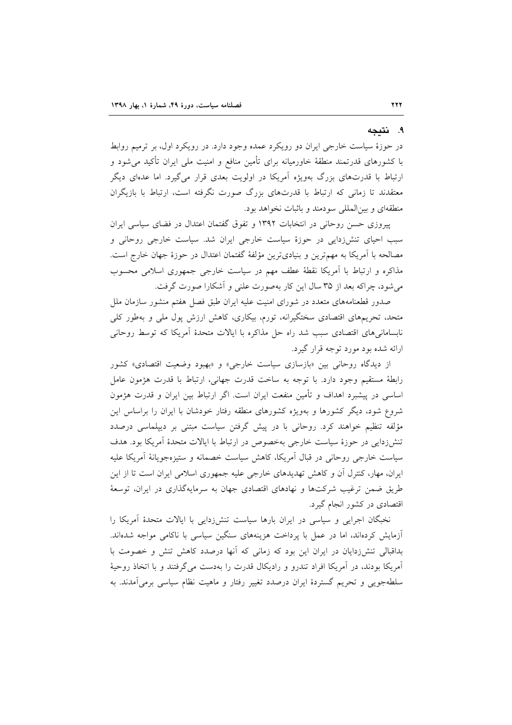#### ۹. نتىجە

در حوزهٔ سیاست خارجی ایران دو رویکرد عمده وجود دارد. در رویکرد اول، بر ترمیم روابط با کشورهای قدرتمند منطقهٔ خاورمیانه برای تأمین منافع و امنیت ملی ایران تأکید میشود و ارتباط با قدرتهای بزرگ بهویژه آمریکا در اولویت بعدی قرار می گیرد. اما عدهای دیگر معتقدند تا زمانی که ارتباط با قدرتهای بزرگ صورت نگرفته است، ارتباط با بازیگران منطقهای و بینالمللی سودمند و باثبات نخواهد بود.

پیروزی حسن روحانی در انتخابات ۱۳۹۲ و تفوق گفتمان اعتدال در فضای سیاسی ایران سبب احیای تنش(دایی در حوزهٔ سیاست خارجی ایران شد. سیاست خارجی روحانی و مصالحه با آمریکا به مهمترین و بنیادیترین مؤلفهٔ گفتمان اعتدال در حوزهٔ جهان خارج است. مذاکرِه و ارتباط با اَمریکا نقطهٔ عطف مهم در سیاست خارجی جمهوری اسلامی محسوب می شود، چراکه بعد از ۳۵ سال این کار بهصورت علنی و آشکارا صورت گرفت.

صدور قطعنامههای متعدد در شورای امنیت علیه ایران طبق فصل هفتم منشور سازمان ملل متحد، تحریمهای اقتصادی سختگیرانه، تورم، بیکاری، کاهش ارزش پول ملی و بهطور کلی نابسامانیهای اقتصادی سبب شد راه حل مذاکره با ایالات متحدهٔ اَمریکا که توسط روحانی ارائه شده بود مورد توجه قرار گیرد.

از دیدگاه روحانی بین «بازسازی سیاست خارجی» و «بهبود وضعیت اقتصادی» کشور رابطهٔ مستقیم وجود دارد. با توجه به ساخت قدرت جهانی، ارتباط با قدرت هژمون عامل اساسی در پیشبرد اهداف و تأمین منفعت ایران است. اگر ارتباط بین ایران و قدرت هژمون شروع شود، دیگر کشورها و بهویژه کشورهای منطقه رفتار خودشان با ایران را براساس این مؤلفه تنظیم خواهند کرد. روحانی با در پیش گرفتن سیاست مبتنی بر دیپلماسی درصدد تنش(دایی در حوزهٔ سیاست خارجی بهخصوص در ارتباط با ایالات متحدهٔ آمریکا بود. هدف سیاست خارجی روحانی در قبال آمریکا، کاهش سیاست خصمانه و ستیزهجویانهٔ آمریکا علیه ایران، مهار، کنترل آن و کاهش تهدیدهای خارجی علیه جمهوری اسلامی ایران است تا از این طریق ضمن ترغیب شرکتها و نهادهای اقتصادی جهان به سرمایهگذاری در ایران، توسعهٔ اقتصادی در کشور انجام گیرد.

نخبگان اجرایی و سیاسی در ایران بارها سیاست تنش(دایی با ایالات متحدهٔ اَمریکا را آزمایش کردهاند، اما در عمل با پرداخت هزینههای سنگین سیاسی با ناکامی مواجه شدهاند. بداقبالی تنش(دایان در ایران این بود که زمانی که آنها درصدد کاهش تنش و خصومت با آمریکا بودند، در آمریکا افراد تندرو و رادیکال قدرت را بهدست میگرفتند و با اتخاذ روحیهٔ سلطهجویی و تحریم گستردهٔ ایران درصدد تغییر رفتار و ماهیت نظام سیاسی برمیآمدند. به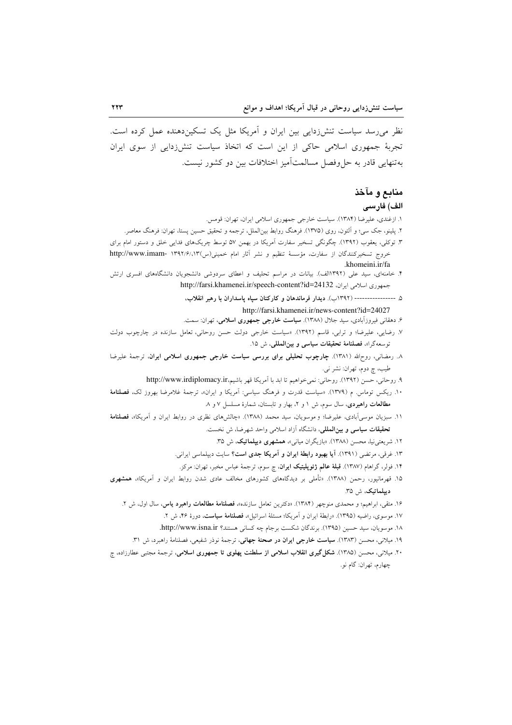نظر می رسد سیاست تنش(دایی بین ایران و آمریکا مثل یک تسکیندهنده عمل کرده است. تجربهٔ جمهوری اسلامی حاکی از این است که اتخاذ سیاست تنش(دایی از سوی ایران به تنهایی قادر به حل وفصل مسالمت امیز اختلافات بین دو کشور نیست.

# منابع و مآخذ الف) فارسى

١. ازغندي، عليرضا (١٣٨۴). سياست خارجي جمهوري اسلامي ايران، تهران: قومس.

- ۲. پلینو، جک سی؛ و اَلتون، روی (۱۳۷۵). فرهنگ روابط بین|لملل، ترجمه و تحقیق حسین پستا، تهران: فرهنگ معاصر.
- ۳. توکلی، یعقوب (۱۳۹۲). چگونگی تسخیر سفارت اَمریکا در بهمن ۵۷ توسط چریکهای فدایی خلق و دستور امام برای خروج تسخيركنندگان از سفارت، مؤسسة تنظيم و نشر آثار امام خميني(س)١٣٩٢/١٣٩٢ -http://www.imam .khomeini.ir/fa
- ۴. خامنهای، سید علی (۱۳۹۲الف). بیانات در مراسم تحلیف و اعطای سردوشی دانشجویان دانشگاههای افسری ارتش جمهوري اسلامي ايران، http://farsi.khamenei.ir/speech-content?id=24132
	- ۵ --------------- (۱۳۹۲ب). دیدار فرماندهان و کارکنان سپاه پاسداران با رهبر انقلاب،

http://farsi.khamenei.ir/news-content?id=24027

- ۶. دهقانی فیروزآبادی، سید جلال (۱۳۸۸). **سیاست خارجی جمهوری اسلامی**، تهران: سمت.
- ۷. رضایی، علیرضا؛ و ترابی، قاسم (۱۳۹۲). «سیاست خارجی دولت حسن روحانی، تعامل سازنده در چارچوب دولت توسعه گرا»، فصلنامة تحقيقات سياسي و بين المللي، ش ١٥.
- ٨. رمضانی، روحالله (١٣٨١). چارچوب تحلیلی برای بررسی سیاست خارجی جمهوری اسلامی ایران، ترجمهٔ علیرضا طیب، چ دوم، تهران: نشر نبي.
	- ٩. روحاني، حسن (١٣٩٢). روحاني: نمي خواهيم تا ابد با آمريكا قهر باشيم،http://www.irdiplomacy.ir
- ۱۰. ریکس توماس. م (۱۳۷۹). «سیاست قدرت و فرهنگ سیاسی: اَمریکا و ایران»، ترجمهٔ غلامرضا بهروز لک، فصلنامهٔ مطالعات راهبردی، سال سوم، ش ١ و ٢، بهار و تابستان، شمارهٔ مسلسل ٧ و ٨
- ۱۱. سبزیان موسی آبادی، علیرضا؛ و موسویان، سید محمد (۱۳۸۸). «چالشهای نظری در روابط ایران و آمریکا»، فصلنامهٔ تحقیقات سیاسی و بین المللی، دانشگاه آزاد اسلامی واحد شهرضا، ش نخست.
	- ۱۲. شریعتی نیا، محسن (۱۳۸۸). «بازیگران میانی»، همشهری دیپلماتیک، ش ۳۵.
	- ۱۳. غرقی، مرتضی (۱۳۹۱). آی**ا بهبود رابطهٔ ایران و آمریکا جدی است؟** سایت دیپلماسی ایرانی.
	- ۱۴. فولر، گراهام (۱۳۸۷). **قبلهٔ عالم ژئوپلیتیک ایران**، چ سوم، ترجمهٔ عباس مخبر، تهران: مرکز.
- ۱۵. قهرمانپور، رحمن (۱۳۸۸). «تأملی بر دیدگاههای کشورهای مخالف عادی شدن روابط ایران و اَمریکا»، همشهری ديپلماتيک، ش ٣۵.
	- ۱۶. متقی، ابراهیم؛ و محمدی منوچهر (۱۳۸۴). «دکترین تعامل سازنده»، فصلنامهٔ مطالعات راهبرد یاس، سال اول، ش ۲.
		- ۱۷. موسوی، راضیه (۱۳۹۵). «رابطهٔ ایران و اَمریکا؛ مسئلهٔ اسرائیل»، فصلنامهٔ **سیاست**، دورهٔ ۴۶، ش ۲.
		- ١٨. موسويان، سيد حسين (١٣٩٥). برندگان شكست برجام چه كساني هستند؟ http://www.isna.ir.
		- ۱۹. میلانی، محسن (۱۳۸۳). **سیاست خارجی ایران در صحنهٔ جهانی**، ترجمهٔ نوذر شفیعی، فصلنامهٔ راهبرد، ش ۳۱.
- ۲۰. میلانی، محسن (۱۳۸۵). **شکل گیری انقلاب اسلامی از سلطنت یهلوی تا جمهوری اسلامی**، ترجمهٔ مجتبی عطارزاده، چ چهارم، تهران: گام نو.